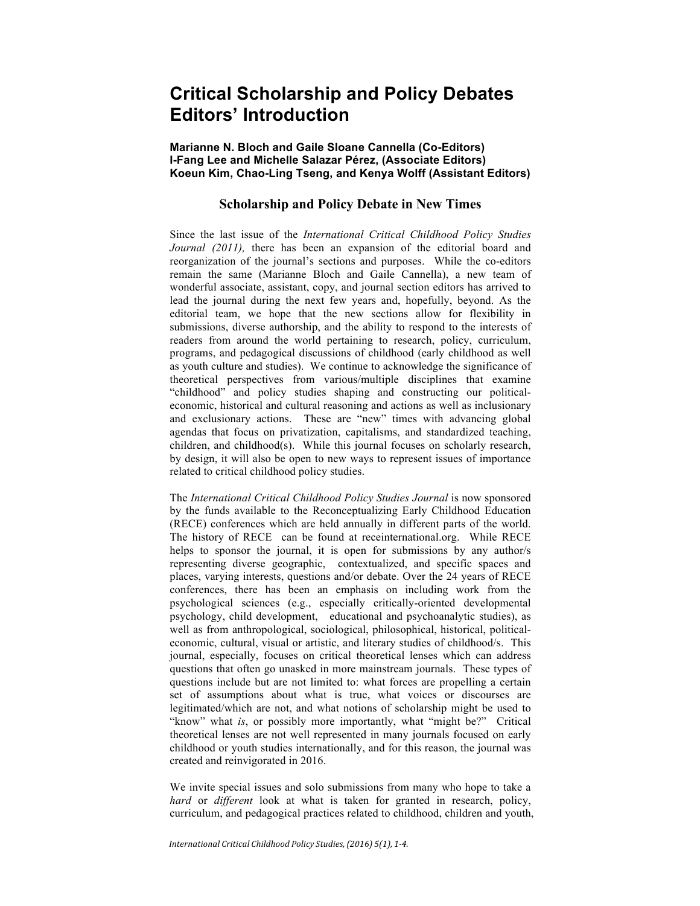# **Critical Scholarship and Policy Debates Editors' Introduction**

## **Marianne N. Bloch and Gaile Sloane Cannella (Co-Editors) I-Fang Lee and Michelle Salazar Pérez, (Associate Editors) Koeun Kim, Chao-Ling Tseng, and Kenya Wolff (Assistant Editors)**

## **Scholarship and Policy Debate in New Times**

Since the last issue of the *International Critical Childhood Policy Studies Journal (2011),* there has been an expansion of the editorial board and reorganization of the journal's sections and purposes. While the co-editors remain the same (Marianne Bloch and Gaile Cannella), a new team of wonderful associate, assistant, copy, and journal section editors has arrived to lead the journal during the next few years and, hopefully, beyond. As the editorial team, we hope that the new sections allow for flexibility in submissions, diverse authorship, and the ability to respond to the interests of readers from around the world pertaining to research, policy, curriculum, programs, and pedagogical discussions of childhood (early childhood as well as youth culture and studies). We continue to acknowledge the significance of theoretical perspectives from various/multiple disciplines that examine "childhood" and policy studies shaping and constructing our politicaleconomic, historical and cultural reasoning and actions as well as inclusionary and exclusionary actions. These are "new" times with advancing global agendas that focus on privatization, capitalisms, and standardized teaching, children, and childhood(s). While this journal focuses on scholarly research, by design, it will also be open to new ways to represent issues of importance related to critical childhood policy studies.

The *International Critical Childhood Policy Studies Journal* is now sponsored by the funds available to the Reconceptualizing Early Childhood Education (RECE) conferences which are held annually in different parts of the world. The history of RECE can be found at receinternational.org. While RECE helps to sponsor the journal, it is open for submissions by any author/s representing diverse geographic, contextualized, and specific spaces and places, varying interests, questions and/or debate. Over the 24 years of RECE conferences, there has been an emphasis on including work from the psychological sciences (e.g., especially critically-oriented developmental psychology, child development, educational and psychoanalytic studies), as well as from anthropological, sociological, philosophical, historical, politicaleconomic, cultural, visual or artistic, and literary studies of childhood/s. This journal, especially, focuses on critical theoretical lenses which can address questions that often go unasked in more mainstream journals. These types of questions include but are not limited to: what forces are propelling a certain set of assumptions about what is true, what voices or discourses are legitimated/which are not, and what notions of scholarship might be used to "know" what *is*, or possibly more importantly, what "might be?" Critical theoretical lenses are not well represented in many journals focused on early childhood or youth studies internationally, and for this reason, the journal was created and reinvigorated in 2016.

We invite special issues and solo submissions from many who hope to take a *hard* or *different* look at what is taken for granted in research, policy, curriculum, and pedagogical practices related to childhood, children and youth,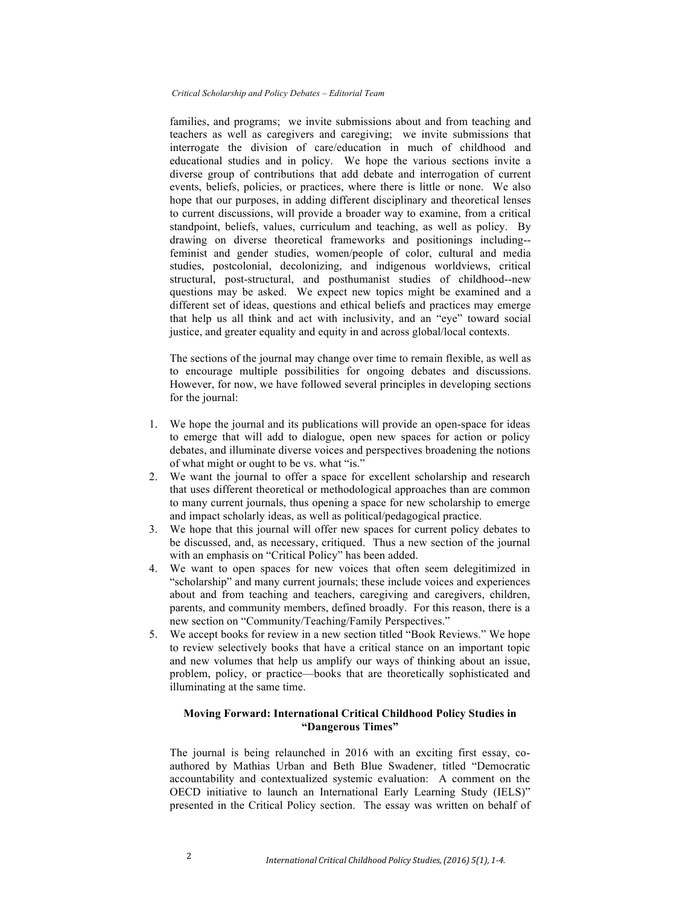#### *Critical Scholarship and Policy Debates – Editorial Team*

families, and programs; we invite submissions about and from teaching and teachers as well as caregivers and caregiving; we invite submissions that interrogate the division of care/education in much of childhood and educational studies and in policy. We hope the various sections invite a diverse group of contributions that add debate and interrogation of current events, beliefs, policies, or practices, where there is little or none. We also hope that our purposes, in adding different disciplinary and theoretical lenses to current discussions, will provide a broader way to examine, from a critical standpoint, beliefs, values, curriculum and teaching, as well as policy. By drawing on diverse theoretical frameworks and positionings including- feminist and gender studies, women/people of color, cultural and media studies, postcolonial, decolonizing, and indigenous worldviews, critical structural, post-structural, and posthumanist studies of childhood--new questions may be asked. We expect new topics might be examined and a different set of ideas, questions and ethical beliefs and practices may emerge that help us all think and act with inclusivity, and an "eye" toward social justice, and greater equality and equity in and across global/local contexts.

The sections of the journal may change over time to remain flexible, as well as to encourage multiple possibilities for ongoing debates and discussions. However, for now, we have followed several principles in developing sections for the journal:

- 1. We hope the journal and its publications will provide an open-space for ideas to emerge that will add to dialogue, open new spaces for action or policy debates, and illuminate diverse voices and perspectives broadening the notions of what might or ought to be vs. what "is."
- 2. We want the journal to offer a space for excellent scholarship and research that uses different theoretical or methodological approaches than are common to many current journals, thus opening a space for new scholarship to emerge and impact scholarly ideas, as well as political/pedagogical practice.
- 3. We hope that this journal will offer new spaces for current policy debates to be discussed, and, as necessary, critiqued. Thus a new section of the journal with an emphasis on "Critical Policy" has been added.
- 4. We want to open spaces for new voices that often seem delegitimized in "scholarship" and many current journals; these include voices and experiences about and from teaching and teachers, caregiving and caregivers, children, parents, and community members, defined broadly. For this reason, there is a new section on "Community/Teaching/Family Perspectives."
- 5. We accept books for review in a new section titled "Book Reviews." We hope to review selectively books that have a critical stance on an important topic and new volumes that help us amplify our ways of thinking about an issue, problem, policy, or practice—books that are theoretically sophisticated and illuminating at the same time.

## **Moving Forward: International Critical Childhood Policy Studies in "Dangerous Times"**

The journal is being relaunched in 2016 with an exciting first essay, coauthored by Mathias Urban and Beth Blue Swadener, titled "Democratic accountability and contextualized systemic evaluation: A comment on the OECD initiative to launch an International Early Learning Study (IELS)" presented in the Critical Policy section. The essay was written on behalf of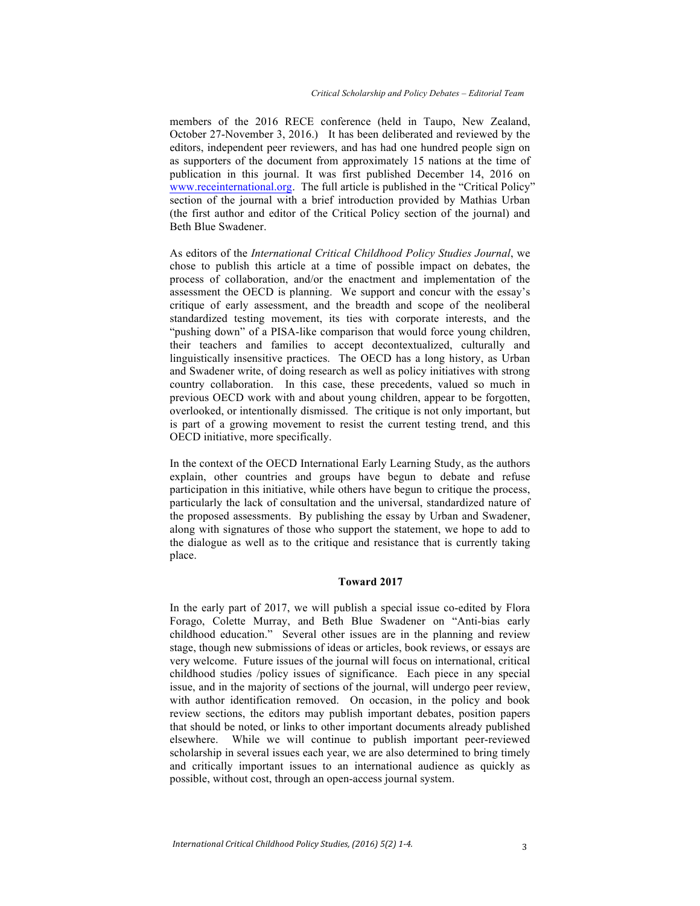members of the 2016 RECE conference (held in Taupo, New Zealand, October 27-November 3, 2016.) It has been deliberated and reviewed by the editors, independent peer reviewers, and has had one hundred people sign on as supporters of the document from approximately 15 nations at the time of publication in this journal. It was first published December 14, 2016 on www.receinternational.org. The full article is published in the "Critical Policy" section of the journal with a brief introduction provided by Mathias Urban (the first author and editor of the Critical Policy section of the journal) and Beth Blue Swadener.

As editors of the *International Critical Childhood Policy Studies Journal*, we chose to publish this article at a time of possible impact on debates, the process of collaboration, and/or the enactment and implementation of the assessment the OECD is planning. We support and concur with the essay's critique of early assessment, and the breadth and scope of the neoliberal standardized testing movement, its ties with corporate interests, and the "pushing down" of a PISA-like comparison that would force young children, their teachers and families to accept decontextualized, culturally and linguistically insensitive practices. The OECD has a long history, as Urban and Swadener write, of doing research as well as policy initiatives with strong country collaboration. In this case, these precedents, valued so much in previous OECD work with and about young children, appear to be forgotten, overlooked, or intentionally dismissed. The critique is not only important, but is part of a growing movement to resist the current testing trend, and this OECD initiative, more specifically.

In the context of the OECD International Early Learning Study, as the authors explain, other countries and groups have begun to debate and refuse participation in this initiative, while others have begun to critique the process, particularly the lack of consultation and the universal, standardized nature of the proposed assessments. By publishing the essay by Urban and Swadener, along with signatures of those who support the statement, we hope to add to the dialogue as well as to the critique and resistance that is currently taking place.

## **Toward 2017**

In the early part of 2017, we will publish a special issue co-edited by Flora Forago, Colette Murray, and Beth Blue Swadener on "Anti-bias early childhood education." Several other issues are in the planning and review stage, though new submissions of ideas or articles, book reviews, or essays are very welcome. Future issues of the journal will focus on international, critical childhood studies /policy issues of significance. Each piece in any special issue, and in the majority of sections of the journal, will undergo peer review, with author identification removed. On occasion, in the policy and book review sections, the editors may publish important debates, position papers that should be noted, or links to other important documents already published elsewhere. While we will continue to publish important peer-reviewed scholarship in several issues each year, we are also determined to bring timely and critically important issues to an international audience as quickly as possible, without cost, through an open-access journal system.